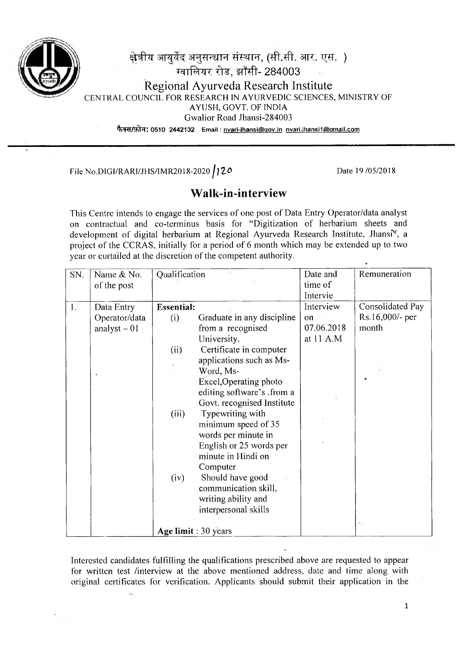

## क्षेत्रीय आयुर्वेद अनुसन्धान संस्थान, (सी.सी. आर. एस. ) ग्वालियर रोड. झाँसी- 284003 Regional Ayurveda Research Institute CENTRAL COUNCIL FOR RESEARCH IN AYURVEDIC SCIENCES, MINISTRY OF AYUSH, GOVT. OF INDIA Gwalior Road Jhansi-284003 **% W A ^ T : 0510 2442132 Em ail: nvari-ihansi@qov.in nvari.ihansi1@qmail.com**

File No.DIGI/RARI/JHS/IMR2018-2020 **/120** Date 19 /05/2018

## **Walk-in-interview**

This Centre intends to engage the services of one post of Data Entry Operator/data analyst on contractual and co-terminus basis for "Digitization of herbarium sheets and development of digital herbarium at Regional Ayurveda Research Institute, Jhansi<sup>x</sup>, a project of the CCRAS, initially for a period of 6 month which may be extended up to two year or curtailed at the discretion of the competent authority.

| SN.                  | Qualification<br>Name & No. |                   |                            | Date and      | Remuneration     |
|----------------------|-----------------------------|-------------------|----------------------------|---------------|------------------|
|                      | of the post                 |                   |                            | time of       |                  |
|                      |                             |                   |                            | Intervie      |                  |
| 1.                   | Data Entry                  | <b>Essential:</b> |                            | Interview     | Consolidated Pay |
|                      | Operator/data               | (i)               | Graduate in any discipline | <sub>on</sub> | Rs.16,000/- per  |
|                      | analyst $-01$               |                   | from a recognised          | 07.06.2018    | month            |
|                      |                             |                   | University.                | at 11 A.M     |                  |
|                      |                             | (ii)              | Certificate in computer    |               |                  |
|                      |                             |                   | applications such as Ms-   |               |                  |
|                      |                             |                   | Word, Ms-                  |               |                  |
|                      |                             |                   | Excel, Operating photo     |               |                  |
|                      |                             |                   | editing software's .from a |               |                  |
|                      |                             |                   | Govt. recognised Institute |               |                  |
|                      |                             | (iii)             | Typewriting with           |               |                  |
|                      |                             |                   | minimum speed of 35        |               |                  |
|                      |                             |                   | words per minute in        |               |                  |
|                      |                             |                   | English or 25 words per    |               |                  |
|                      |                             |                   | minute in Hindi on         |               |                  |
|                      |                             |                   | Computer                   |               |                  |
|                      |                             | (iv)              | Should have good           |               |                  |
|                      |                             |                   | communication skill,       |               |                  |
|                      |                             |                   | writing ability and        |               |                  |
|                      |                             |                   | interpersonal skills       |               |                  |
|                      |                             |                   |                            |               |                  |
| Age limit : 30 years |                             |                   |                            |               |                  |

Interested candidates fulfilling the qualifications prescribed above are requested to appear for written test /interview at the above mentioned address, date and time along with original certificates for verification. Applicants should submit their application in the